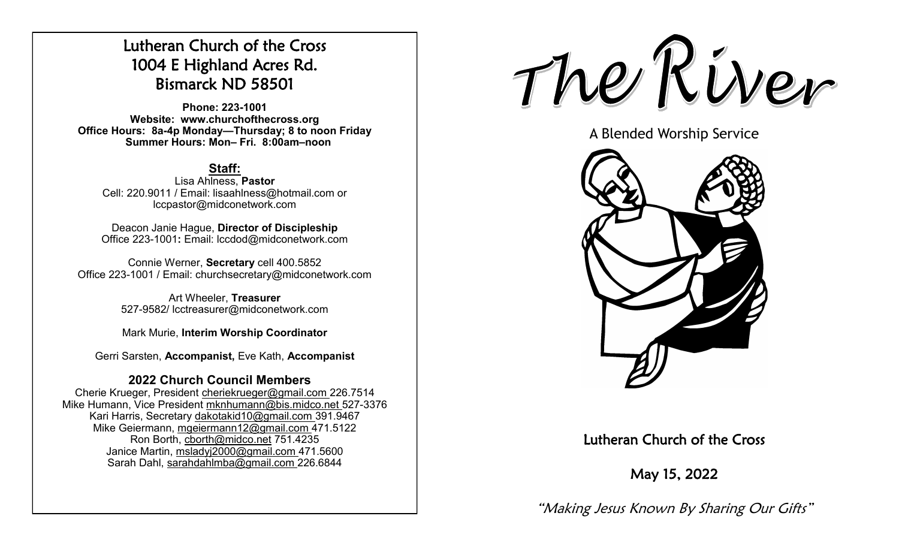# Lutheran Church of the Cross 1004 E Highland Acres Rd. Bismarck ND 58501

**Phone: 223-1001 Website: www.churchofthecross.org Office Hours: 8a-4p Monday—Thursday; 8 to noon Friday Summer Hours: Mon– Fri. 8:00am–noon**

## **Staff:**

Lisa Ahlness, **Pastor** Cell: 220.9011 / Email: lisaahlness@hotmail.com or lccpastor@midconetwork.com

Deacon Janie Hague, **Director of Discipleship** Office 223-1001**:** Email: lccdod@midconetwork.com

Connie Werner, **Secretary** cell 400.5852 Office 223-1001 / Email: churchsecretary@midconetwork.com

> Art Wheeler, **Treasurer** 527-9582/ lcctreasurer@midconetwork.com

> Mark Murie, **Interim Worship Coordinator**

Gerri Sarsten, **Accompanist,** Eve Kath, **Accompanist**

## **2022 Church Council Members**

Cherie Krueger, President cheriekrueger@gmail.com 226.7514 Mike Humann, Vice President mknhumann@bis.midco.net 527-3376 Kari Harris, Secretary dakotakid10@gmail.com 391.9467 Mike Geiermann, mgeiermann12@gmail.com 471.5122 Ron Borth, [cborth@midco.net](mailto:cborth@midco.net) 751.4235 Janice Martin, msladyj2000@gmail.com 471.5600 Sarah Dahl, sarahdahlmba@gmail.com 226.6844



A Blended Worship Service



Lutheran Church of the Cross

May 15, 2022

"Making Jesus Known By Sharing Our Gifts"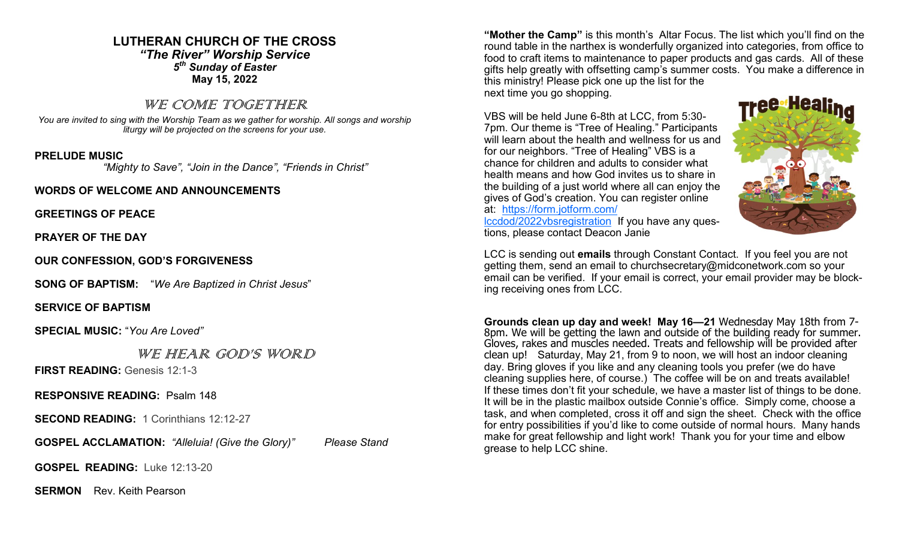## **LUTHERAN CHURCH OF THE CROSS** *"The River" Worship Service 5 th Sunday of Easter* **May 15, 2022**

## WE COME TOGETHER

*You are invited to sing with the Worship Team as we gather for worship. All songs and worship liturgy will be projected on the screens for your use.* 

## **PRELUDE MUSIC**

 *"Mighty to Save", "Join in the Dance", "Friends in Christ"*

### **WORDS OF WELCOME AND ANNOUNCEMENTS**

**GREETINGS OF PEACE**

**PRAYER OF THE DAY**

**OUR CONFESSION, GOD'S FORGIVENESS**

**SONG OF BAPTISM:** "*We Are Baptized in Christ Jesus*"

**SERVICE OF BAPTISM**

**SPECIAL MUSIC:** "*You Are Loved"*

WE HEAR GOD'S WORD

**FIRST READING:** Genesis 12:1-3

**RESPONSIVE READING:** Psalm 148

**SECOND READING:** 1 Corinthians 12:12-27

**GOSPEL ACCLAMATION:** *"Alleluia! (Give the Glory)" Please Stand*

**GOSPEL READING:** Luke 12:13-20

**SERMON** Rev. Keith Pearson

**"Mother the Camp"** is this month's Altar Focus. The list which you'll find on the round table in the narthex is wonderfully organized into categories, from office to food to craft items to maintenance to paper products and gas cards. All of these gifts help greatly with offsetting camp's summer costs. You make a difference in this ministry! Please pick one up the list for the next time you go shopping.

VBS will be held June 6-8th at LCC, from 5:30- 7pm. Our theme is "Tree of Healing." Participants will learn about the health and wellness for us and for our neighbors. "Tree of Healing" VBS is a chance for children and adults to consider what health means and how God invites us to share in the building of a just world where all can enjoy the gives of God's creation. You can register online at: [https://form.jotform.com/](https://form.jotform.com/lccdod/2022vbsregistration) [lccdod/2022vbsregistration](https://form.jotform.com/lccdod/2022vbsregistration) If you have any questions, please contact Deacon Janie



LCC is sending out **emails** through Constant Contact. If you feel you are not getting them, send an email to churchsecretary@midconetwork.com so your email can be verified. If your email is correct, your email provider may be blocking receiving ones from LCC.

**Grounds clean up day and week! May 16—21** Wednesday May 18th from 7- 8pm. We will be getting the lawn and outside of the building ready for summer. Gloves, rakes and muscles needed. Treats and fellowship will be provided after clean up! Saturday, May 21, from 9 to noon, we will host an indoor cleaning day. Bring gloves if you like and any cleaning tools you prefer (we do have cleaning supplies here, of course.) The coffee will be on and treats available! If these times don't fit your schedule, we have a master list of things to be done. It will be in the plastic mailbox outside Connie's office. Simply come, choose a task, and when completed, cross it off and sign the sheet. Check with the office for entry possibilities if you'd like to come outside of normal hours. Many hands make for great fellowship and light work! Thank you for your time and elbow grease to help LCC shine.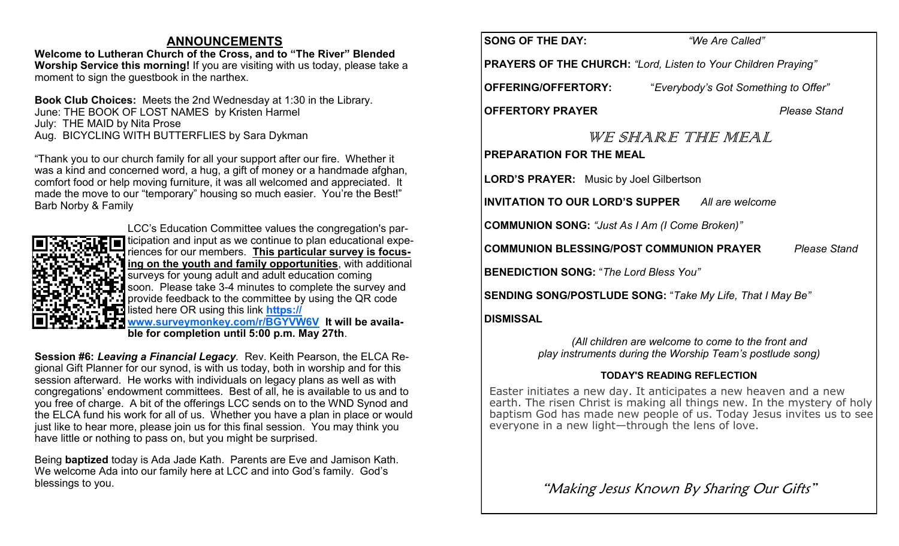## **ANNOUNCEMENTS**

**Welcome to Lutheran Church of the Cross, and to "The River" Blended Worship Service this morning!** If you are visiting with us today, please take a moment to sign the guestbook in the narthex.

**Book Club Choices:** Meets the 2nd Wednesday at 1:30 in the Library. June: THE BOOK OF LOST NAMES by Kristen Harmel July: THE MAID by Nita Prose Aug. BICYCLING WITH BUTTERFLIES by Sara Dykman

"Thank you to our church family for all your support after our fire. Whether it was a kind and concerned word, a hug, a gift of money or a handmade afghan, comfort food or help moving furniture, it was all welcomed and appreciated. It made the move to our "temporary" housing so much easier. You're the Best!" Barb Norby & Family



LCC's Education Committee values the congregation's participation and input as we continue to plan educational experiences for our members. **This particular survey is focusing on the youth and family opportunities**, with additional surveys for young adult and adult education coming soon. Please take 3-4 minutes to complete the survey and provide feedback to the committee by using the QR code listed here OR using this link **[https://](https://www.surveymonkey.com/r/BGYVW6V)**

**[www.surveymonkey.com/r/BGYVW6V](https://www.surveymonkey.com/r/BGYVW6V) It will be available for completion until 5:00 p.m. May 27th**.

**Session #6:** *Leaving a Financial Legacy.* Rev. Keith Pearson, the ELCA Regional Gift Planner for our synod, is with us today, both in worship and for this session afterward. He works with individuals on legacy plans as well as with congregations' endowment committees. Best of all, he is available to us and to you free of charge. A bit of the offerings LCC sends on to the WND Synod and the ELCA fund his work for all of us. Whether you have a plan in place or would just like to hear more, please join us for this final session. You may think you have little or nothing to pass on, but you might be surprised.

Being **baptized** today is Ada Jade Kath. Parents are Eve and Jamison Kath. We welcome Ada into our family here at LCC and into God's family. God's blessings to you.

**SONG OF THE DAY:** *"We Are Called"*

**PRAYERS OF THE CHURCH:** *"Lord, Listen to Your Children Praying"* 

**OFFERING/OFFERTORY:** "*Everybody's Got Something to Offer"*

**OFFERTORY PRAYER** *Please Stand*

WE SHARE THE MEAL **PREPARATION FOR THE MEAL**

**LORD'S PRAYER:** Music by Joel Gilbertson

**INVITATION TO OUR LORD'S SUPPER** *All are welcome*

**COMMUNION SONG:** *"Just As I Am (I Come Broken)"*

**COMMUNION BLESSING/POST COMMUNION PRAYER** *Please Stand*

**BENEDICTION SONG:** "*The Lord Bless You"* 

**SENDING SONG/POSTLUDE SONG:** "*Take My Life, That I May Be"*

## **DISMISSAL**

*(All children are welcome to come to the front and play instruments during the Worship Team's postlude song)*

## **TODAY'S READING REFLECTION**

Easter initiates a new day. It anticipates a new heaven and a new earth. The risen Christ is making all things new. In the mystery of holy baptism God has made new people of us. Today Jesus invites us to see everyone in a new light—through the lens of love.

"Making Jesus Known By Sharing Our Gifts"